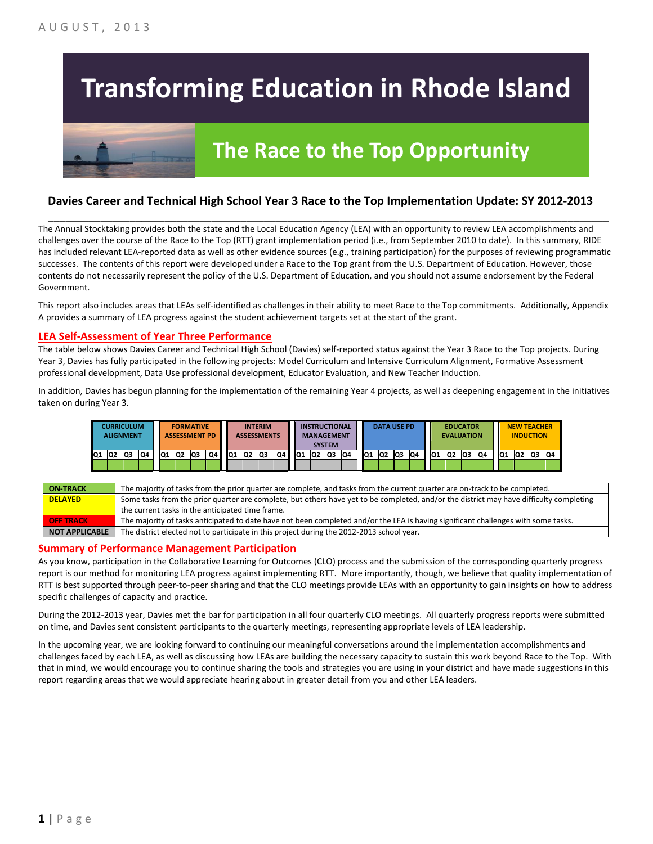# **Transforming Education in Rhode Island**



# **The Race to the Top Opportunity**

### **Davies Career and Technical High School Year 3 Race to the Top Implementation Update: SY 2012-2013**

\_\_\_\_\_\_\_\_\_\_\_\_\_\_\_\_\_\_\_\_\_\_\_\_\_\_\_\_\_\_\_\_\_\_\_\_\_\_\_\_\_\_\_\_\_\_\_\_\_\_\_\_\_\_\_\_\_\_\_\_\_\_\_\_\_\_\_\_\_\_\_\_\_\_\_\_\_\_\_\_\_\_\_\_\_\_\_\_\_\_\_\_\_\_\_\_

The Annual Stocktaking provides both the state and the Local Education Agency (LEA) with an opportunity to review LEA accomplishments and challenges over the course of the Race to the Top (RTT) grant implementation period (i.e., from September 2010 to date). In this summary, RIDE has included relevant LEA-reported data as well as other evidence sources (e.g., training participation) for the purposes of reviewing programmatic successes. The contents of this report were developed under a Race to the Top grant from the U.S. Department of Education. However, those contents do not necessarily represent the policy of the U.S. Department of Education, and you should not assume endorsement by the Federal Government.

This report also includes areas that LEAs self-identified as challenges in their ability to meet Race to the Top commitments. Additionally, Appendix A provides a summary of LEA progress against the student achievement targets set at the start of the grant.

#### **LEA Self-Assessment of Year Three Performance**

The table below shows Davies Career and Technical High School (Davies) self-reported status against the Year 3 Race to the Top projects. During Year 3, Davies has fully participated in the following projects: Model Curriculum and Intensive Curriculum Alignment, Formative Assessment professional development, Data Use professional development, Educator Evaluation, and New Teacher Induction.

In addition, Davies has begun planning for the implementation of the remaining Year 4 projects, as well as deepening engagement in the initiatives taken on during Year 3.



| <b>ON-TRACK</b>  | The majority of tasks from the prior quarter are complete, and tasks from the current quarter are on-track to be completed.             |
|------------------|-----------------------------------------------------------------------------------------------------------------------------------------|
| <b>DELAYED</b>   | Some tasks from the prior quarter are complete, but others have yet to be completed, and/or the district may have difficulty completing |
|                  | the current tasks in the anticipated time frame.                                                                                        |
| <b>OFF TRACK</b> | The majority of tasks anticipated to date have not been completed and/or the LEA is having significant challenges with some tasks.      |
| NOT APPLICABLE   | The district elected not to participate in this project during the 2012-2013 school year.                                               |

#### **Summary of Performance Management Participation**

As you know, participation in the Collaborative Learning for Outcomes (CLO) process and the submission of the corresponding quarterly progress report is our method for monitoring LEA progress against implementing RTT. More importantly, though, we believe that quality implementation of RTT is best supported through peer-to-peer sharing and that the CLO meetings provide LEAs with an opportunity to gain insights on how to address specific challenges of capacity and practice.

During the 2012-2013 year, Davies met the bar for participation in all four quarterly CLO meetings. All quarterly progress reports were submitted on time, and Davies sent consistent participants to the quarterly meetings, representing appropriate levels of LEA leadership.

In the upcoming year, we are looking forward to continuing our meaningful conversations around the implementation accomplishments and challenges faced by each LEA, as well as discussing how LEAs are building the necessary capacity to sustain this work beyond Race to the Top. With that in mind, we would encourage you to continue sharing the tools and strategies you are using in your district and have made suggestions in this report regarding areas that we would appreciate hearing about in greater detail from you and other LEA leaders.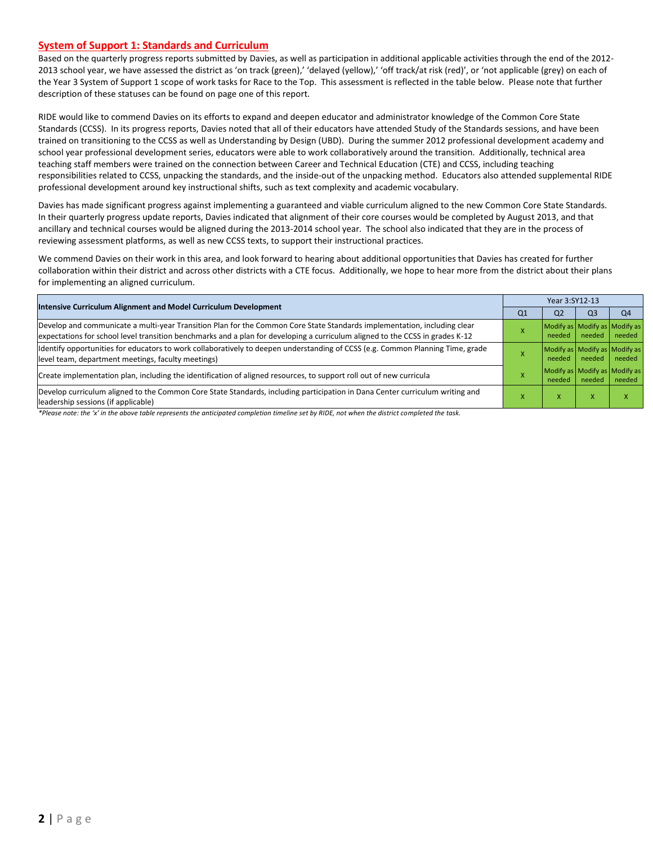#### **System of Support 1: Standards and Curriculum**

Based on the quarterly progress reports submitted by Davies, as well as participation in additional applicable activities through the end of the 2012- 2013 school year, we have assessed the district as 'on track (green),' 'delayed (yellow),' 'off track/at risk (red)', or 'not applicable (grey) on each of the Year 3 System of Support 1 scope of work tasks for Race to the Top. This assessment is reflected in the table below. Please note that further description of these statuses can be found on page one of this report.

RIDE would like to commend Davies on its efforts to expand and deepen educator and administrator knowledge of the Common Core State Standards (CCSS). In its progress reports, Davies noted that all of their educators have attended Study of the Standards sessions, and have been trained on transitioning to the CCSS as well as Understanding by Design (UBD). During the summer 2012 professional development academy and school year professional development series, educators were able to work collaboratively around the transition. Additionally, technical area teaching staff members were trained on the connection between Career and Technical Education (CTE) and CCSS, including teaching responsibilities related to CCSS, unpacking the standards, and the inside-out of the unpacking method. Educators also attended supplemental RIDE professional development around key instructional shifts, such as text complexity and academic vocabulary.

Davies has made significant progress against implementing a guaranteed and viable curriculum aligned to the new Common Core State Standards. In their quarterly progress update reports, Davies indicated that alignment of their core courses would be completed by August 2013, and that ancillary and technical courses would be aligned during the 2013-2014 school year. The school also indicated that they are in the process of reviewing assessment platforms, as well as new CCSS texts, to support their instructional practices.

We commend Davies on their work in this area, and look forward to hearing about additional opportunities that Davies has created for further collaboration within their district and across other districts with a CTE focus. Additionally, we hope to hear more from the district about their plans for implementing an aligned curriculum.

|                                                                                                                                                                                                                                                           |                | Year 3:SY12-13                                   |                                         |                |  |  |
|-----------------------------------------------------------------------------------------------------------------------------------------------------------------------------------------------------------------------------------------------------------|----------------|--------------------------------------------------|-----------------------------------------|----------------|--|--|
| <b>Intensive Curriculum Alignment and Model Curriculum Development</b>                                                                                                                                                                                    | Q <sub>1</sub> | Q <sub>2</sub>                                   | Q <sub>3</sub>                          | Q <sub>4</sub> |  |  |
| Develop and communicate a multi-year Transition Plan for the Common Core State Standards implementation, including clear<br>expectations for school level transition benchmarks and a plan for developing a curriculum aligned to the CCSS in grades K-12 |                | Modify as Modify as Modify as<br>needed   needed |                                         | needed         |  |  |
| Identify opportunities for educators to work collaboratively to deepen understanding of CCSS (e.g. Common Planning Time, grade<br>level team, department meetings, faculty meetings)                                                                      |                | Modify as Modify as Modify as<br>needed          | needed                                  | needed         |  |  |
| Create implementation plan, including the identification of aligned resources, to support roll out of new curricula                                                                                                                                       |                | needed                                           | Modify as Modify as Modify as<br>needed | needed         |  |  |
| Develop curriculum aligned to the Common Core State Standards, including participation in Dana Center curriculum writing and<br>leadership sessions (if applicable)                                                                                       |                | X                                                | $\boldsymbol{\mathsf{x}}$               |                |  |  |

*\*Please note: the 'x' in the above table represents the anticipated completion timeline set by RIDE, not when the district completed the task.*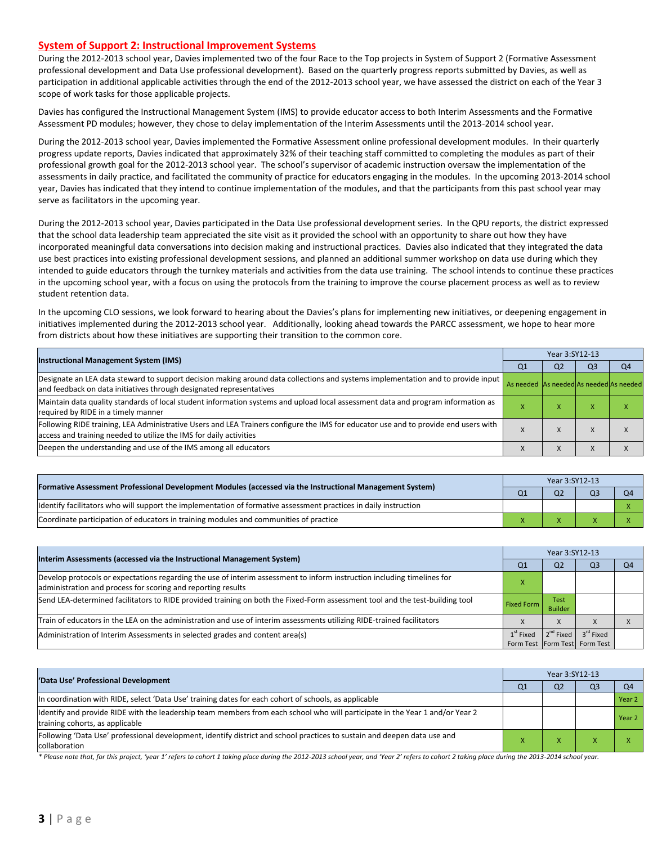#### **System of Support 2: Instructional Improvement Systems**

During the 2012-2013 school year, Davies implemented two of the four Race to the Top projects in System of Support 2 (Formative Assessment professional development and Data Use professional development). Based on the quarterly progress reports submitted by Davies, as well as participation in additional applicable activities through the end of the 2012-2013 school year, we have assessed the district on each of the Year 3 scope of work tasks for those applicable projects.

Davies has configured the Instructional Management System (IMS) to provide educator access to both Interim Assessments and the Formative Assessment PD modules; however, they chose to delay implementation of the Interim Assessments until the 2013-2014 school year.

During the 2012-2013 school year, Davies implemented the Formative Assessment online professional development modules. In their quarterly progress update reports, Davies indicated that approximately 32% of their teaching staff committed to completing the modules as part of their professional growth goal for the 2012-2013 school year. The school's supervisor of academic instruction oversaw the implementation of the assessments in daily practice, and facilitated the community of practice for educators engaging in the modules. In the upcoming 2013-2014 school year, Davies has indicated that they intend to continue implementation of the modules, and that the participants from this past school year may serve as facilitators in the upcoming year.

During the 2012-2013 school year, Davies participated in the Data Use professional development series. In the QPU reports, the district expressed that the school data leadership team appreciated the site visit as it provided the school with an opportunity to share out how they have incorporated meaningful data conversations into decision making and instructional practices. Davies also indicated that they integrated the data use best practices into existing professional development sessions, and planned an additional summer workshop on data use during which they intended to guide educators through the turnkey materials and activities from the data use training. The school intends to continue these practices in the upcoming school year, with a focus on using the protocols from the training to improve the course placement process as well as to review student retention data.

In the upcoming CLO sessions, we look forward to hearing about the Davies's plans for implementing new initiatives, or deepening engagement in initiatives implemented during the 2012-2013 school year. Additionally, looking ahead towards the PARCC assessment, we hope to hear more from districts about how these initiatives are supporting their transition to the common core.

|                                                                                                                                                                                                           |                                         | Year 3:SY12-13 |                |                |  |  |  |
|-----------------------------------------------------------------------------------------------------------------------------------------------------------------------------------------------------------|-----------------------------------------|----------------|----------------|----------------|--|--|--|
| <b>Instructional Management System (IMS)</b>                                                                                                                                                              |                                         |                | Q <sub>3</sub> | O <sub>4</sub> |  |  |  |
| Designate an LEA data steward to support decision making around data collections and systems implementation and to provide input<br>and feedback on data initiatives through designated representatives   | As needed As needed As needed As needed |                |                |                |  |  |  |
| Maintain data quality standards of local student information systems and upload local assessment data and program information as<br>required by RIDE in a timely manner                                   |                                         | $\mathbf{v}$   |                |                |  |  |  |
| Following RIDE training, LEA Administrative Users and LEA Trainers configure the IMS for educator use and to provide end users with<br>access and training needed to utilize the IMS for daily activities |                                         | $\lambda$      |                |                |  |  |  |
| Deepen the understanding and use of the IMS among all educators                                                                                                                                           |                                         |                |                |                |  |  |  |

|                                                                                                                   |  | Year 3:SY12-13 |  |  |  |  |  |
|-------------------------------------------------------------------------------------------------------------------|--|----------------|--|--|--|--|--|
| [Formative Assessment Professional Development Modules (accessed via the Instructional Management System)         |  | O <sub>2</sub> |  |  |  |  |  |
| Ildentify facilitators who will support the implementation of formative assessment practices in daily instruction |  |                |  |  |  |  |  |
| Coordinate participation of educators in training modules and communities of practice                             |  |                |  |  |  |  |  |

|                                                                                                                                                                                         |                   | Year 3:SY12-13         |                                                        |    |  |  |  |
|-----------------------------------------------------------------------------------------------------------------------------------------------------------------------------------------|-------------------|------------------------|--------------------------------------------------------|----|--|--|--|
| Interim Assessments (accessed via the Instructional Management System)                                                                                                                  | Q1                | Q <sub>2</sub>         | Q3                                                     | Q4 |  |  |  |
| Develop protocols or expectations regarding the use of interim assessment to inform instruction including timelines for<br>administration and process for scoring and reporting results |                   |                        |                                                        |    |  |  |  |
| Send LEA-determined facilitators to RIDE provided training on both the Fixed-Form assessment tool and the test-building tool                                                            | <b>Fixed Form</b> | Test<br><b>Builder</b> |                                                        |    |  |  |  |
| Train of educators in the LEA on the administration and use of interim assessments utilizing RIDE-trained facilitators                                                                  |                   | X                      |                                                        |    |  |  |  |
| Administration of Interim Assessments in selected grades and content area(s)                                                                                                            | $1st$ Fixed       | $2^{nd}$ Fixed         | 3 <sup>rd</sup> Fixed<br>Form Test Form Test Form Test |    |  |  |  |
|                                                                                                                                                                                         |                   |                        |                                                        |    |  |  |  |

| 'Data Use' Professional Development                                                                                                                             |  | Year 3:SY12-13 |    |          |  |  |  |
|-----------------------------------------------------------------------------------------------------------------------------------------------------------------|--|----------------|----|----------|--|--|--|
|                                                                                                                                                                 |  | Q <sub>2</sub> | QЗ | $\Omega$ |  |  |  |
| In coordination with RIDE, select 'Data Use' training dates for each cohort of schools, as applicable                                                           |  |                |    | Year 2   |  |  |  |
| Identify and provide RIDE with the leadership team members from each school who will participate in the Year 1 and/or Year 2<br>training cohorts, as applicable |  |                |    | Year 2   |  |  |  |
| Following 'Data Use' professional development, identify district and school practices to sustain and deepen data use and<br>collaboration                       |  |                |    |          |  |  |  |

\* Please note that, for this project, 'year 1' refers to cohort 1 taking place during the 2012-2013 school year, and 'Year 2' refers to cohort 2 taking place during the 2013-2014 school year.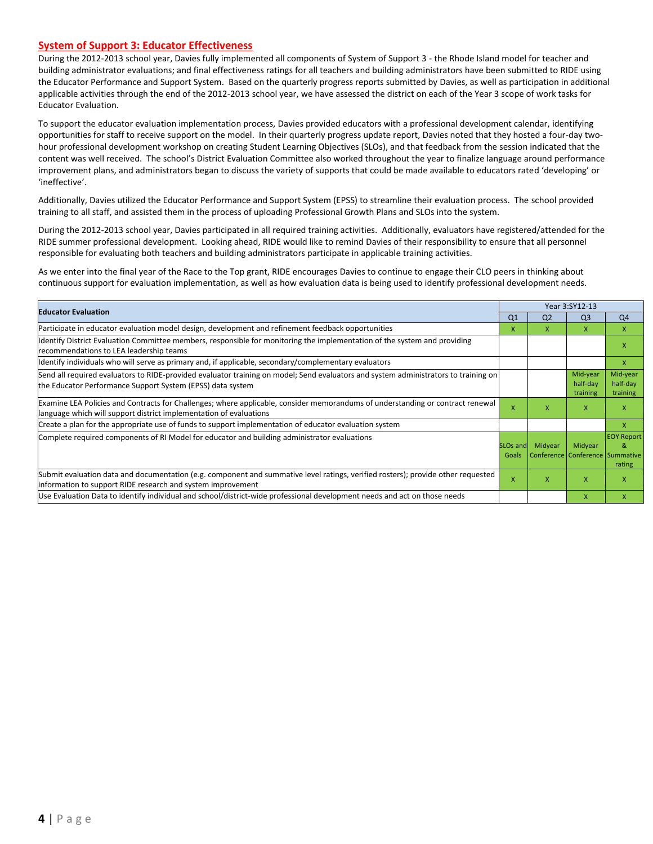#### **System of Support 3: Educator Effectiveness**

During the 2012-2013 school year, Davies fully implemented all components of System of Support 3 - the Rhode Island model for teacher and building administrator evaluations; and final effectiveness ratings for all teachers and building administrators have been submitted to RIDE using the Educator Performance and Support System. Based on the quarterly progress reports submitted by Davies, as well as participation in additional applicable activities through the end of the 2012-2013 school year, we have assessed the district on each of the Year 3 scope of work tasks for Educator Evaluation.

To support the educator evaluation implementation process, Davies provided educators with a professional development calendar, identifying opportunities for staff to receive support on the model. In their quarterly progress update report, Davies noted that they hosted a four-day twohour professional development workshop on creating Student Learning Objectives (SLOs), and that feedback from the session indicated that the content was well received. The school's District Evaluation Committee also worked throughout the year to finalize language around performance improvement plans, and administrators began to discuss the variety of supports that could be made available to educators rated 'developing' or 'ineffective'.

Additionally, Davies utilized the Educator Performance and Support System (EPSS) to streamline their evaluation process. The school provided training to all staff, and assisted them in the process of uploading Professional Growth Plans and SLOs into the system.

During the 2012-2013 school year, Davies participated in all required training activities. Additionally, evaluators have registered/attended for the RIDE summer professional development. Looking ahead, RIDE would like to remind Davies of their responsibility to ensure that all personnel responsible for evaluating both teachers and building administrators participate in applicable training activities.

As we enter into the final year of the Race to the Top grant, RIDE encourages Davies to continue to engage their CLO peers in thinking about continuous support for evaluation implementation, as well as how evaluation data is being used to identify professional development needs.

| <b>Educator Evaluation</b>                                                                                                                                                                           |                           | Year 3:SY12-13 |                                  |                                                                |  |
|------------------------------------------------------------------------------------------------------------------------------------------------------------------------------------------------------|---------------------------|----------------|----------------------------------|----------------------------------------------------------------|--|
|                                                                                                                                                                                                      | Q <sub>1</sub>            | Q <sub>2</sub> | Q <sub>3</sub>                   | Q <sub>4</sub>                                                 |  |
| Participate in educator evaluation model design, development and refinement feedback opportunities                                                                                                   | X                         | x              | $\mathsf{x}$                     | x                                                              |  |
| Identify District Evaluation Committee members, responsible for monitoring the implementation of the system and providing<br>recommendations to LEA leadership teams                                 |                           |                |                                  |                                                                |  |
| Identify individuals who will serve as primary and, if applicable, secondary/complementary evaluators                                                                                                |                           |                |                                  | X                                                              |  |
| Send all required evaluators to RIDE-provided evaluator training on model; Send evaluators and system administrators to training on<br>the Educator Performance Support System (EPSS) data system    |                           |                | Mid-year<br>half-day<br>training | Mid-year<br>half-day<br>training                               |  |
| Examine LEA Policies and Contracts for Challenges; where applicable, consider memorandums of understanding or contract renewal<br>language which will support district implementation of evaluations | $\boldsymbol{\mathsf{x}}$ | x              | X                                |                                                                |  |
| Create a plan for the appropriate use of funds to support implementation of educator evaluation system                                                                                               |                           |                |                                  | X                                                              |  |
| Complete required components of RI Model for educator and building administrator evaluations<br><b>SLOs and</b>                                                                                      |                           | Midyear        | Midyear                          | <b>EOY Report</b><br>Conference Conference Summative<br>rating |  |
| Submit evaluation data and documentation (e.g. component and summative level ratings, verified rosters); provide other requested<br>linformation to support RIDE research and system improvement     | $\boldsymbol{\mathsf{x}}$ | X              | $\mathsf{x}$                     |                                                                |  |
| Use Evaluation Data to identify individual and school/district-wide professional development needs and act on those needs                                                                            |                           |                | X                                | x                                                              |  |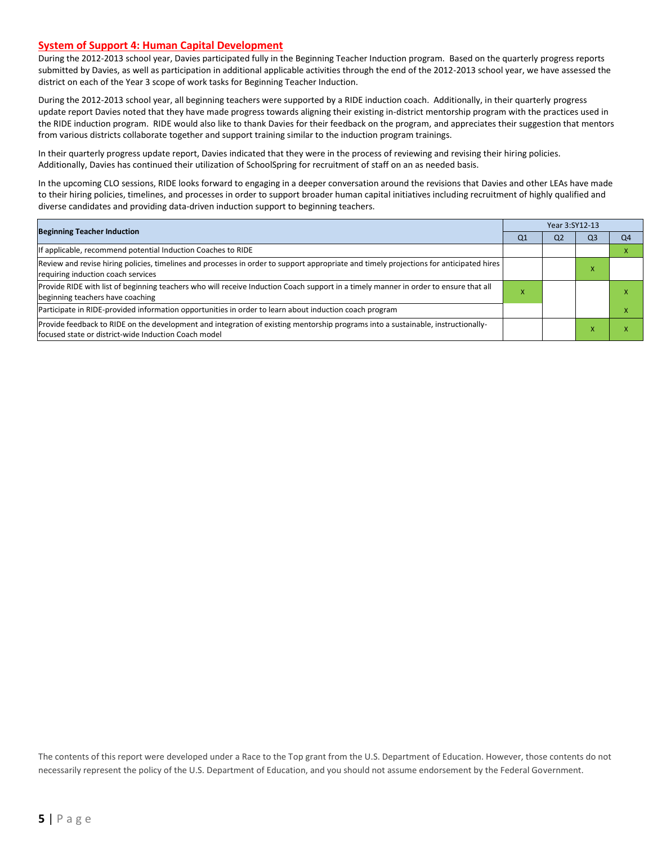#### **System of Support 4: Human Capital Development**

During the 2012-2013 school year, Davies participated fully in the Beginning Teacher Induction program. Based on the quarterly progress reports submitted by Davies, as well as participation in additional applicable activities through the end of the 2012-2013 school year, we have assessed the district on each of the Year 3 scope of work tasks for Beginning Teacher Induction.

During the 2012-2013 school year, all beginning teachers were supported by a RIDE induction coach. Additionally, in their quarterly progress update report Davies noted that they have made progress towards aligning their existing in-district mentorship program with the practices used in the RIDE induction program. RIDE would also like to thank Davies for their feedback on the program, and appreciates their suggestion that mentors from various districts collaborate together and support training similar to the induction program trainings.

In their quarterly progress update report, Davies indicated that they were in the process of reviewing and revising their hiring policies. Additionally, Davies has continued their utilization of SchoolSpring for recruitment of staff on an as needed basis.

In the upcoming CLO sessions, RIDE looks forward to engaging in a deeper conversation around the revisions that Davies and other LEAs have made to their hiring policies, timelines, and processes in order to support broader human capital initiatives including recruitment of highly qualified and diverse candidates and providing data-driven induction support to beginning teachers.

| <b>Beginning Teacher Induction</b>                                                                                                                                                        |   | Year 3:SY12-13 |    |                |  |
|-------------------------------------------------------------------------------------------------------------------------------------------------------------------------------------------|---|----------------|----|----------------|--|
|                                                                                                                                                                                           |   | Q <sub>2</sub> | Q3 | Q <sub>4</sub> |  |
| If applicable, recommend potential Induction Coaches to RIDE                                                                                                                              |   |                |    |                |  |
| Review and revise hiring policies, timelines and processes in order to support appropriate and timely projections for anticipated hires<br>requiring induction coach services             |   |                |    |                |  |
| Provide RIDE with list of beginning teachers who will receive Induction Coach support in a timely manner in order to ensure that all<br>beginning teachers have coaching                  | ⋏ |                |    |                |  |
| Participate in RIDE-provided information opportunities in order to learn about induction coach program                                                                                    |   |                |    |                |  |
| Provide feedback to RIDE on the development and integration of existing mentorship programs into a sustainable, instructionally-<br>lfocused state or district-wide Induction Coach model |   |                |    |                |  |

The contents of this report were developed under a Race to the Top grant from the U.S. Department of Education. However, those contents do not necessarily represent the policy of the U.S. Department of Education, and you should not assume endorsement by the Federal Government.